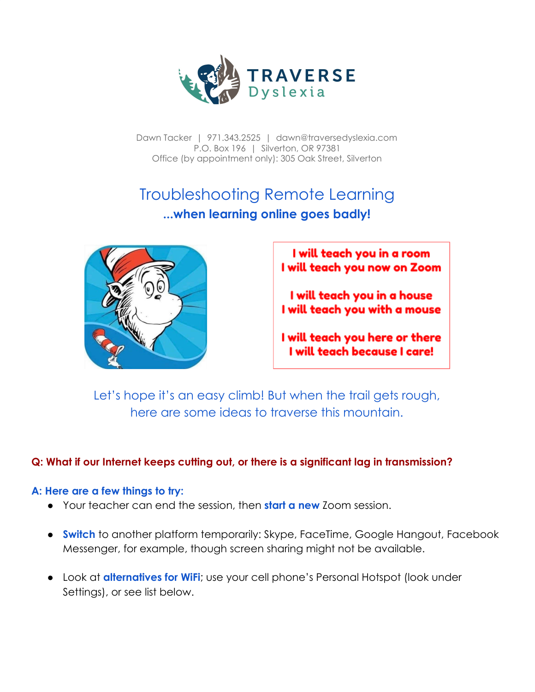

Dawn Tacker | 971.343.2525 | dawn@traversedyslexia.com P.O. Box 196 | Silverton, OR 97381 Office (by appointment only): 305 Oak Street, Silverton

# Troubleshooting Remote Learning **...when learning online goes badly!**



I will teach you in a room I will teach you now on Zoom

I will teach you in a house I will teach you with a mouse

I will teach you here or there I will teach because I care!

Let's hope it's an easy climb! But when the trail gets rough, here are some ideas to traverse this mountain.

## **Q: What if our Internet keeps cutting out, or there is a significant lag in transmission?**

#### **A: Here are a few things to try:**

- Your teacher can end the session, then **start a new** Zoom session.
- **Switch** to another platform temporarily: Skype, FaceTime, Google Hangout, Facebook Messenger, for example, though screen sharing might not be available.
- **•** Look at **alternatives for WiFi**; use your cell phone's Personal Hotspot (look under Settings), or see list below.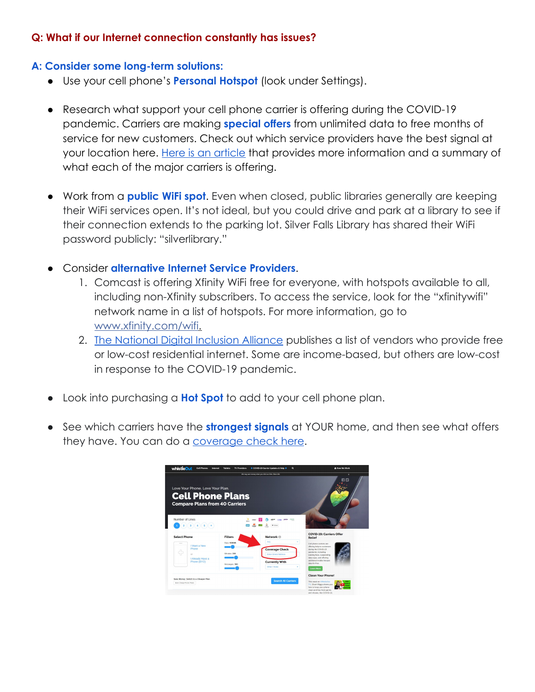## **Q: What if our Internet connection constantly has issues?**

#### **A: Consider some long-term solutions:**

- Use your cell phone's **Personal Hotspot** (look under Settings).
- Research what support your cell phone carrier is offering during the COVID-19 pandemic. Carriers are making **special offers** from unlimited data to free months of service for new customers. Check out which service providers have the best signal at your location here. [Here is an article](https://www.whistleout.com/CellPhones/News/wireless-carriers-offer-unlimited-data-plus-hotspot-during-coronavirus-outbreak) that provides more information and a summary of what each of the major carriers is offering.
- Work from a **public WiFi spot**. Even when closed, public libraries generally are keeping their WiFi services open. It's not ideal, but you could drive and park at a library to see if their connection extends to the parking lot. Silver Falls Library has shared their WiFi password publicly: "silverlibrary."
- Consider **alternative Internet Service Providers**.
	- 1. Comcast is offering Xfinity WiFi free for everyone, with hotspots available to all, including non-Xfinity subscribers. To access the service, look for the "xfinitywifi" network name in a list of hotspots. For more information, go to [www.xfinity.com/wifi](http://www.xfinity.com/wifi?fbclid=IwAR3HPpy06TAHXxQ18myMHc9_Kk0BR36jy7HLUfma0vHTmBw3flgRhlfwbns).
	- 2. [The National Digital Inclusion Alliance](https://www.digitalinclusion.org/free-low-cost-internet-plans/?fbclid=IwAR1RyG_4B0y-M2DLRk1E6rjdKFSG8pQablycBdl0jtod18djjiH3ZzbhF_Q) publishes a list of vendors who provide free or low-cost residential internet. Some are income-based, but others are low-cost in response to the COVID-19 pandemic.
- Look into purchasing a **Hot Spot** to add to your cell phone plan.
- See which carriers have the **strongest signals** at YOUR home, and then see what offers they have. You can do a [coverage check here](https://www.whistleout.com/cellphones).